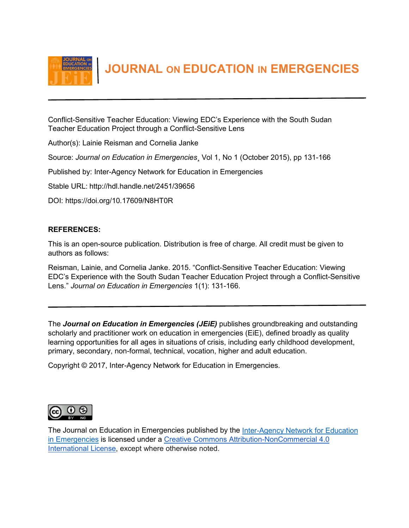

 **JOURNAL ON EDUCATION IN EMERGENCIES**

Conflict-Sensitive Teacher Education: Viewing EDC's Experience with the South Sudan Teacher Education Project through a Conflict-Sensitive Lens

Author(s): Lainie Reisman and Cornelia Janke

Source: *Journal on Education in Emergencies*¸ Vol 1, No 1 (October 2015), pp 131-166

Published by: Inter-Agency Network for Education in Emergencies

Stable URL: http://hdl.handle.net/2451/39656

DOI: https://doi.org/10.17609/N8HT0R

# **REFERENCES:**

This is an open-source publication. Distribution is free of charge. All credit must be given to authors as follows:

Reisman, Lainie, and Cornelia Janke. 2015. "Conflict-Sensitive Teacher Education: Viewing EDC's Experience with the South Sudan Teacher Education Project through a Conflict-Sensitive Lens." *Journal on Education in Emergencies* 1(1): 131-166.

The *Journal on Education in Emergencies (JEiE)* publishes groundbreaking and outstanding scholarly and practitioner work on education in emergencies (EiE), defined broadly as quality learning opportunities for all ages in situations of crisis, including early childhood development, primary, secondary, non-formal, technical, vocation, higher and adult education.

Copyright © 2017, Inter-Agency Network for Education in Emergencies.



The Journal on Education in Emergencies published b[y](http://www.ineesite.org/en/journal) the [Inter-Agency Network for Education](http://www.ineesite.org/en/journal)  [in Emergencies](http://www.ineesite.org/en/journal) is licensed under [a](http://creativecommons.org/licenses/by-nc/4.0/) [Creative Commons Attribution-NonCommercial 4.0](http://creativecommons.org/licenses/by-nc/4.0/)  [International License,](http://creativecommons.org/licenses/by-nc/4.0/) except where otherwise noted.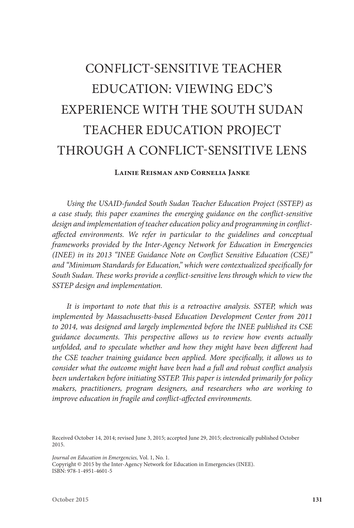# CONFLICT-SENSITIVE TEACHER EDUCATION: VIEWING EDC'S EXPERIENCE WITH THE SOUTH SUDAN TEACHER EDUCATION PROJECT THROUGH A CONFLICT-SENSITIVE LENS

## **Lainie Reisman and Cornelia Janke**

*Using the USAID-funded South Sudan Teacher Education Project (SSTEP) as a case study, this paper examines the emerging guidance on the conflict-sensitive design and implementation of teacher education policy and programming in conflict*affected environments. We refer in particular to the guidelines and conceptual *frameworks provided by the Inter-Agency Network for Education in Emergencies (INEE) in its 2013 "INEE Guidance Note on Conflict Sensitive Education (CSE)" and "Minimum Standards for Education," which were contextualized specifically for South Sudan. These works provide a conflict-sensitive lens through which to view the SSTEP design and implementation.* 

*It is important to note that this is a retroactive analysis. SSTEP, which was implemented by Massachusetts-based Education Development Center from 2011 to 2014, was designed and largely implemented before the INEE published its CSE guidance documents. This perspective allows us to review how events actually unfolded, and to speculate whether and how they might have been different had the CSE teacher training guidance been applied. More specifically, it allows us to consider what the outcome might have been had a full and robust conflict analysis been undertaken before initiating SSTEP. This paper is intended primarily for policy makers, practitioners, program designers, and researchers who are working to improve education in fragile and conflict-affected environments.* 

Received October 14, 2014; revised June 3, 2015; accepted June 29, 2015; electronically published October 2015.

*Journal on Education in Emergencies,* Vol. 1, No. 1. Copyright © 2015 by the Inter-Agency Network for Education in Emergencies (INEE). ISBN: 978-1-4951-4601-5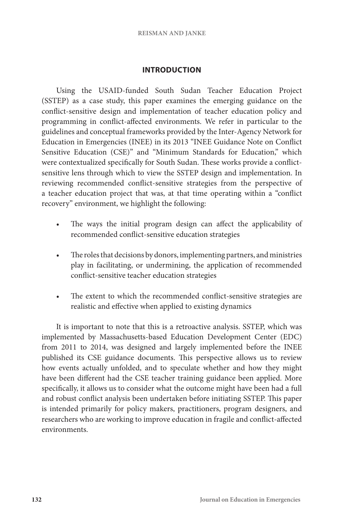# **INTRODUCTION**

Using the USAID-funded South Sudan Teacher Education Project (SSTEP) as a case study, this paper examines the emerging guidance on the conflict-sensitive design and implementation of teacher education policy and programming in conflict-affected environments. We refer in particular to the guidelines and conceptual frameworks provided by the Inter-Agency Network for Education in Emergencies (INEE) in its 2013 "INEE Guidance Note on Conflict Sensitive Education (CSE)" and "Minimum Standards for Education," which were contextualized specifically for South Sudan. These works provide a conflictsensitive lens through which to view the SSTEP design and implementation. In reviewing recommended conflict-sensitive strategies from the perspective of a teacher education project that was, at that time operating within a "conflict recovery" environment, we highlight the following:

- The ways the initial program design can affect the applicability of recommended conflict-sensitive education strategies
- The roles that decisions by donors, implementing partners, and ministries play in facilitating, or undermining, the application of recommended conflict-sensitive teacher education strategies
- The extent to which the recommended conflict-sensitive strategies are realistic and effective when applied to existing dynamics

It is important to note that this is a retroactive analysis. SSTEP, which was implemented by Massachusetts-based Education Development Center (EDC) from 2011 to 2014, was designed and largely implemented before the INEE published its CSE guidance documents. This perspective allows us to review how events actually unfolded, and to speculate whether and how they might have been different had the CSE teacher training guidance been applied. More specifically, it allows us to consider what the outcome might have been had a full and robust conflict analysis been undertaken before initiating SSTEP. This paper is intended primarily for policy makers, practitioners, program designers, and researchers who are working to improve education in fragile and conflict-affected environments.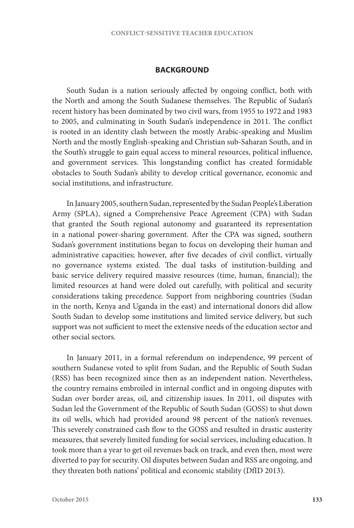## **BACKGROUND**

South Sudan is a nation seriously affected by ongoing conflict, both with the North and among the South Sudanese themselves. The Republic of Sudan's recent history has been dominated by two civil wars, from 1955 to 1972 and 1983 to 2005, and culminating in South Sudan's independence in 2011. The conflict is rooted in an identity clash between the mostly Arabic-speaking and Muslim North and the mostly English-speaking and Christian sub-Saharan South, and in the South's struggle to gain equal access to mineral resources, political influence, and government services. This longstanding conflict has created formidable obstacles to South Sudan's ability to develop critical governance, economic and social institutions, and infrastructure.

In January 2005, southern Sudan, represented by the Sudan People's Liberation Army (SPLA), signed a Comprehensive Peace Agreement (CPA) with Sudan that granted the South regional autonomy and guaranteed its representation in a national power-sharing government. After the CPA was signed, southern Sudan's government institutions began to focus on developing their human and administrative capacities; however, after five decades of civil conflict, virtually no governance systems existed. The dual tasks of institution-building and basic service delivery required massive resources (time, human, financial); the limited resources at hand were doled out carefully, with political and security considerations taking precedence. Support from neighboring countries (Sudan in the north, Kenya and Uganda in the east) and international donors did allow South Sudan to develop some institutions and limited service delivery, but such support was not sufficient to meet the extensive needs of the education sector and other social sectors.

In January 2011, in a formal referendum on independence, 99 percent of southern Sudanese voted to split from Sudan, and the Republic of South Sudan (RSS) has been recognized since then as an independent nation. Nevertheless, the country remains embroiled in internal conflict and in ongoing disputes with Sudan over border areas, oil, and citizenship issues. In 2011, oil disputes with Sudan led the Government of the Republic of South Sudan (GOSS) to shut down its oil wells, which had provided around 98 percent of the nation's revenues. This severely constrained cash flow to the GOSS and resulted in drastic austerity measures, that severely limited funding for social services, including education. It took more than a year to get oil revenues back on track, and even then, most were diverted to pay for security. Oil disputes between Sudan and RSS are ongoing, and they threaten both nations' political and economic stability (DfID 2013).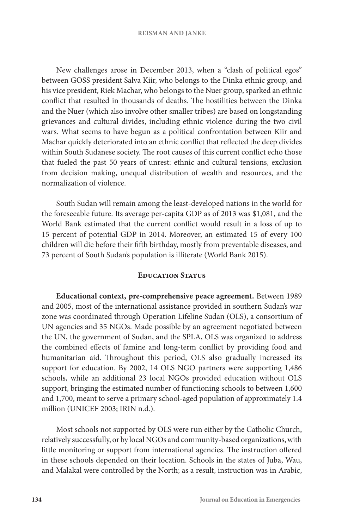New challenges arose in December 2013, when a "clash of political egos" between GOSS president Salva Kiir, who belongs to the Dinka ethnic group, and his vice president, Riek Machar, who belongs to the Nuer group, sparked an ethnic conflict that resulted in thousands of deaths. The hostilities between the Dinka and the Nuer (which also involve other smaller tribes) are based on longstanding grievances and cultural divides, including ethnic violence during the two civil wars. What seems to have begun as a political confrontation between Kiir and Machar quickly deteriorated into an ethnic conflict that reflected the deep divides within South Sudanese society. The root causes of this current conflict echo those that fueled the past 50 years of unrest: ethnic and cultural tensions, exclusion from decision making, unequal distribution of wealth and resources, and the normalization of violence.

South Sudan will remain among the least-developed nations in the world for the foreseeable future. Its average per-capita GDP as of 2013 was \$1,081, and the World Bank estimated that the current conflict would result in a loss of up to 15 percent of potential GDP in 2014. Moreover, an estimated 15 of every 100 children will die before their fifth birthday, mostly from preventable diseases, and 73 percent of South Sudan's population is illiterate (World Bank 2015).

## **Education Status**

**Educational context, pre-comprehensive peace agreement.** Between 1989 and 2005, most of the international assistance provided in southern Sudan's war zone was coordinated through Operation Lifeline Sudan (OLS), a consortium of UN agencies and 35 NGOs. Made possible by an agreement negotiated between the UN, the government of Sudan, and the SPLA, OLS was organized to address the combined effects of famine and long-term conflict by providing food and humanitarian aid. Throughout this period, OLS also gradually increased its support for education. By 2002, 14 OLS NGO partners were supporting 1,486 schools, while an additional 23 local NGOs provided education without OLS support, bringing the estimated number of functioning schools to between 1,600 and 1,700, meant to serve a primary school-aged population of approximately 1.4 million (UNICEF 2003; IRIN n.d.).

Most schools not supported by OLS were run either by the Catholic Church, relatively successfully, or by local NGOs and community-based organizations, with little monitoring or support from international agencies. The instruction offered in these schools depended on their location. Schools in the states of Juba, Wau, and Malakal were controlled by the North; as a result, instruction was in Arabic,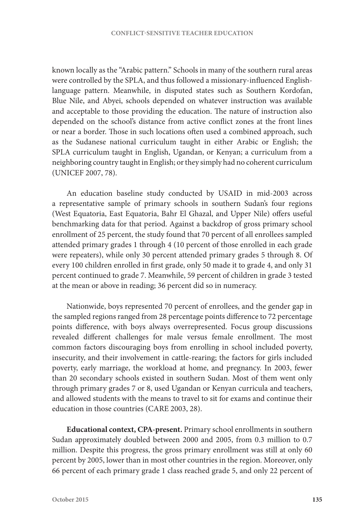known locally as the "Arabic pattern." Schools in many of the southern rural areas were controlled by the SPLA, and thus followed a missionary-influenced Englishlanguage pattern. Meanwhile, in disputed states such as Southern Kordofan, Blue Nile, and Abyei, schools depended on whatever instruction was available and acceptable to those providing the education. The nature of instruction also depended on the school's distance from active conflict zones at the front lines or near a border. Those in such locations often used a combined approach, such as the Sudanese national curriculum taught in either Arabic or English; the SPLA curriculum taught in English, Ugandan, or Kenyan; a curriculum from a neighboring country taught in English; or they simply had no coherent curriculum (UNICEF 2007, 78).

An education baseline study conducted by USAID in mid-2003 across a representative sample of primary schools in southern Sudan's four regions (West Equatoria, East Equatoria, Bahr El Ghazal, and Upper Nile) offers useful benchmarking data for that period. Against a backdrop of gross primary school enrollment of 25 percent, the study found that 70 percent of all enrollees sampled attended primary grades 1 through 4 (10 percent of those enrolled in each grade were repeaters), while only 30 percent attended primary grades 5 through 8. Of every 100 children enrolled in first grade, only 50 made it to grade 4, and only 31 percent continued to grade 7. Meanwhile, 59 percent of children in grade 3 tested at the mean or above in reading; 36 percent did so in numeracy.

Nationwide, boys represented 70 percent of enrollees, and the gender gap in the sampled regions ranged from 28 percentage points difference to 72 percentage points difference, with boys always overrepresented. Focus group discussions revealed different challenges for male versus female enrollment. The most common factors discouraging boys from enrolling in school included poverty, insecurity, and their involvement in cattle-rearing; the factors for girls included poverty, early marriage, the workload at home, and pregnancy. In 2003, fewer than 20 secondary schools existed in southern Sudan. Most of them went only through primary grades 7 or 8, used Ugandan or Kenyan curricula and teachers, and allowed students with the means to travel to sit for exams and continue their education in those countries (CARE 2003, 28).

**Educational context, CPA-present.** Primary school enrollments in southern Sudan approximately doubled between 2000 and 2005, from 0.3 million to 0.7 million. Despite this progress, the gross primary enrollment was still at only 60 percent by 2005, lower than in most other countries in the region. Moreover, only 66 percent of each primary grade 1 class reached grade 5, and only 22 percent of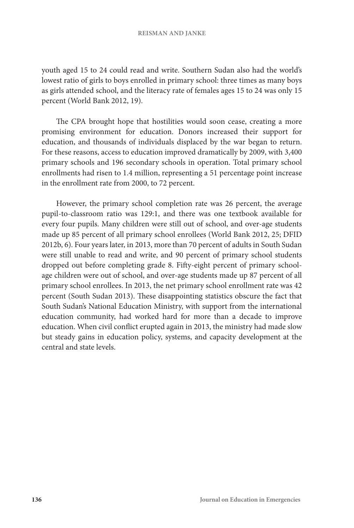#### **REISMAN AND JANKE**

youth aged 15 to 24 could read and write. Southern Sudan also had the world's lowest ratio of girls to boys enrolled in primary school: three times as many boys as girls attended school, and the literacy rate of females ages 15 to 24 was only 15 percent (World Bank 2012, 19).

The CPA brought hope that hostilities would soon cease, creating a more promising environment for education. Donors increased their support for education, and thousands of individuals displaced by the war began to return. For these reasons, access to education improved dramatically by 2009, with 3,400 primary schools and 196 secondary schools in operation. Total primary school enrollments had risen to 1.4 million, representing a 51 percentage point increase in the enrollment rate from 2000, to 72 percent.

However, the primary school completion rate was 26 percent, the average pupil-to-classroom ratio was 129:1, and there was one textbook available for every four pupils. Many children were still out of school, and over-age students made up 85 percent of all primary school enrollees (World Bank 2012, 25; DFID 2012b, 6). Four years later, in 2013, more than 70 percent of adults in South Sudan were still unable to read and write, and 90 percent of primary school students dropped out before completing grade 8. Fifty-eight percent of primary schoolage children were out of school, and over-age students made up 87 percent of all primary school enrollees. In 2013, the net primary school enrollment rate was 42 percent (South Sudan 2013). These disappointing statistics obscure the fact that South Sudan's National Education Ministry, with support from the international education community, had worked hard for more than a decade to improve education. When civil conflict erupted again in 2013, the ministry had made slow but steady gains in education policy, systems, and capacity development at the central and state levels.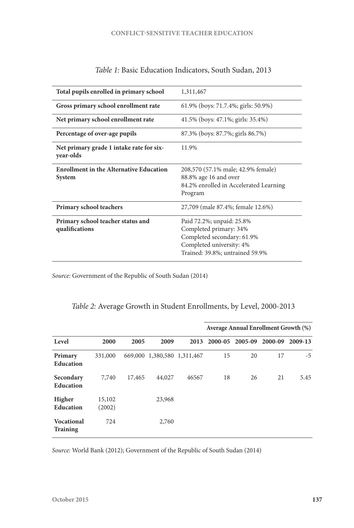| Total pupils enrolled in primary school                         | 1,311,467                                                                                                                                        |
|-----------------------------------------------------------------|--------------------------------------------------------------------------------------------------------------------------------------------------|
| Gross primary school enrollment rate                            | 61.9% (boys: 71.7.4%; girls: 50.9%)                                                                                                              |
| Net primary school enrollment rate                              | 41.5% (boys: 47.1%; girls: 35.4%)                                                                                                                |
| Percentage of over-age pupils                                   | 87.3% (boys: 87.7%; girls 86.7%)                                                                                                                 |
| Net primary grade 1 intake rate for six-<br>year-olds           | 11.9%                                                                                                                                            |
| <b>Enrollment in the Alternative Education</b><br><b>System</b> | 208,570 (57.1% male; 42.9% female)<br>88.8% age 16 and over<br>84.2% enrolled in Accelerated Learning<br>Program                                 |
| Primary school teachers                                         | 27,709 (male 87.4%; female 12.6%)                                                                                                                |
| Primary school teacher status and<br>qualifications             | Paid 72.2%; unpaid: 25.8%<br>Completed primary: 34%<br>Completed secondary: 61.9%<br>Completed university: 4%<br>Trained: 39.8%; untrained 59.9% |

*Table 1:* Basic Education Indicators, South Sudan, 2013

*Source:* Government of the Republic of South Sudan (2014)

|  |  |  |  |  | Table 2: Average Growth in Student Enrollments, by Level, 2000-2013 |
|--|--|--|--|--|---------------------------------------------------------------------|
|--|--|--|--|--|---------------------------------------------------------------------|

|                                      |                  |        |                             |       |         | Average Annual Enrollment Growth (%) |         |         |
|--------------------------------------|------------------|--------|-----------------------------|-------|---------|--------------------------------------|---------|---------|
| Level                                | 2000             | 2005   | 2009                        | 2013  | 2000-05 | 2005-09                              | 2000-09 | 2009-13 |
| Primary<br>Education                 | 331,000          |        | 669,000 1,380,580 1,311,467 |       | 15      | 20                                   | 17      | $-5$    |
| Secondary<br><b>Education</b>        | 7,740            | 17,465 | 44,027                      | 46567 | 18      | 26                                   | 21      | 5.45    |
| Higher<br>Education                  | 15,102<br>(2002) |        | 23,968                      |       |         |                                      |         |         |
| <b>Vocational</b><br><b>Training</b> | 724              |        | 2,760                       |       |         |                                      |         |         |

*Source:* World Bank (2012); Government of the Republic of South Sudan (2014)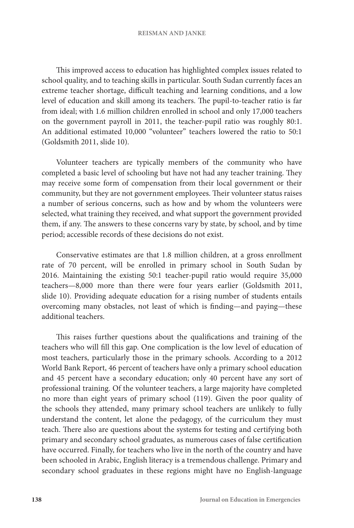#### **REISMAN AND JANKE**

This improved access to education has highlighted complex issues related to school quality, and to teaching skills in particular. South Sudan currently faces an extreme teacher shortage, difficult teaching and learning conditions, and a low level of education and skill among its teachers. The pupil-to-teacher ratio is far from ideal; with 1.6 million children enrolled in school and only 17,000 teachers on the government payroll in 2011, the teacher-pupil ratio was roughly 80:1. An additional estimated 10,000 "volunteer" teachers lowered the ratio to 50:1 (Goldsmith 2011, slide 10).

Volunteer teachers are typically members of the community who have completed a basic level of schooling but have not had any teacher training. They may receive some form of compensation from their local government or their community, but they are not government employees. Their volunteer status raises a number of serious concerns, such as how and by whom the volunteers were selected, what training they received, and what support the government provided them, if any. The answers to these concerns vary by state, by school, and by time period; accessible records of these decisions do not exist.

Conservative estimates are that 1.8 million children, at a gross enrollment rate of 70 percent, will be enrolled in primary school in South Sudan by 2016. Maintaining the existing 50:1 teacher-pupil ratio would require 35,000 teachers—8,000 more than there were four years earlier (Goldsmith 2011, slide 10). Providing adequate education for a rising number of students entails overcoming many obstacles, not least of which is finding—and paying—these additional teachers.

This raises further questions about the qualifications and training of the teachers who will fill this gap. One complication is the low level of education of most teachers, particularly those in the primary schools. According to a 2012 World Bank Report, 46 percent of teachers have only a primary school education and 45 percent have a secondary education; only 40 percent have any sort of professional training. Of the volunteer teachers, a large majority have completed no more than eight years of primary school (119). Given the poor quality of the schools they attended, many primary school teachers are unlikely to fully understand the content, let alone the pedagogy, of the curriculum they must teach. There also are questions about the systems for testing and certifying both primary and secondary school graduates, as numerous cases of false certification have occurred. Finally, for teachers who live in the north of the country and have been schooled in Arabic, English literacy is a tremendous challenge. Primary and secondary school graduates in these regions might have no English-language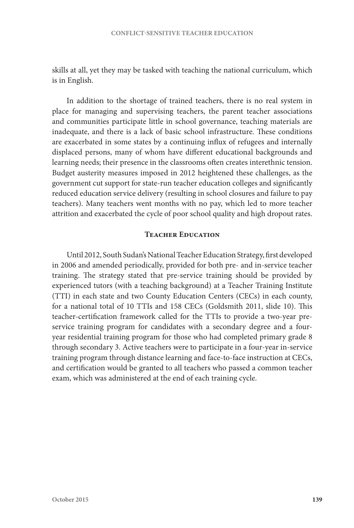skills at all, yet they may be tasked with teaching the national curriculum, which is in English.

In addition to the shortage of trained teachers, there is no real system in place for managing and supervising teachers, the parent teacher associations and communities participate little in school governance, teaching materials are inadequate, and there is a lack of basic school infrastructure. These conditions are exacerbated in some states by a continuing influx of refugees and internally displaced persons, many of whom have different educational backgrounds and learning needs; their presence in the classrooms often creates interethnic tension. Budget austerity measures imposed in 2012 heightened these challenges, as the government cut support for state-run teacher education colleges and significantly reduced education service delivery (resulting in school closures and failure to pay teachers). Many teachers went months with no pay, which led to more teacher attrition and exacerbated the cycle of poor school quality and high dropout rates.

## **Teacher Education**

Until 2012, South Sudan's National Teacher Education Strategy, first developed in 2006 and amended periodically, provided for both pre- and in-service teacher training. The strategy stated that pre-service training should be provided by experienced tutors (with a teaching background) at a Teacher Training Institute (TTI) in each state and two County Education Centers (CECs) in each county, for a national total of 10 TTIs and 158 CECs (Goldsmith 2011, slide 10). This teacher-certification framework called for the TTIs to provide a two-year preservice training program for candidates with a secondary degree and a fouryear residential training program for those who had completed primary grade 8 through secondary 3. Active teachers were to participate in a four-year in-service training program through distance learning and face-to-face instruction at CECs, and certification would be granted to all teachers who passed a common teacher exam, which was administered at the end of each training cycle.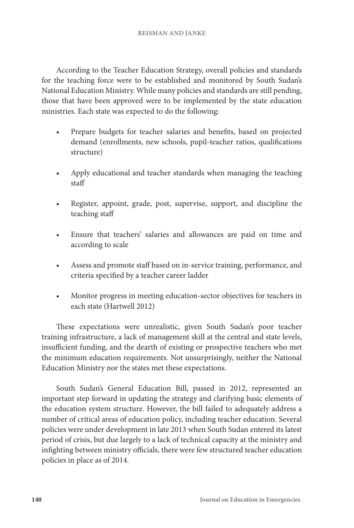According to the Teacher Education Strategy, overall policies and standards for the teaching force were to be established and monitored by South Sudan's National Education Ministry. While many policies and standards are still pending, those that have been approved were to be implemented by the state education ministries. Each state was expected to do the following:

- Prepare budgets for teacher salaries and benefits, based on projected demand (enrollments, new schools, pupil-teacher ratios, qualifications structure)
- Apply educational and teacher standards when managing the teaching staff
- Register, appoint, grade, post, supervise, support, and discipline the teaching staff
- Ensure that teachers' salaries and allowances are paid on time and according to scale
- Assess and promote staff based on in-service training, performance, and criteria specified by a teacher career ladder
- Monitor progress in meeting education-sector objectives for teachers in each state (Hartwell 2012)

These expectations were unrealistic, given South Sudan's poor teacher training infrastructure, a lack of management skill at the central and state levels, insufficient funding, and the dearth of existing or prospective teachers who met the minimum education requirements. Not unsurprisingly, neither the National Education Ministry nor the states met these expectations.

South Sudan's General Education Bill, passed in 2012, represented an important step forward in updating the strategy and clarifying basic elements of the education system structure. However, the bill failed to adequately address a number of critical areas of education policy, including teacher education. Several policies were under development in late 2013 when South Sudan entered its latest period of crisis, but due largely to a lack of technical capacity at the ministry and infighting between ministry officials, there were few structured teacher education policies in place as of 2014.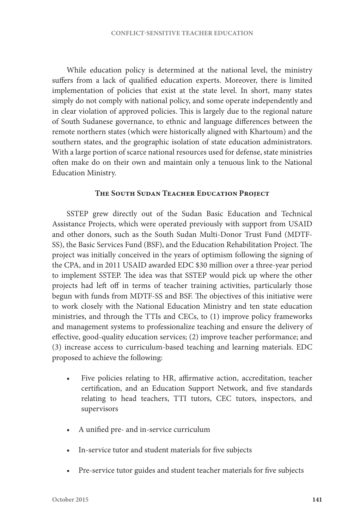While education policy is determined at the national level, the ministry suffers from a lack of qualified education experts. Moreover, there is limited implementation of policies that exist at the state level. In short, many states simply do not comply with national policy, and some operate independently and in clear violation of approved policies. This is largely due to the regional nature of South Sudanese governance, to ethnic and language differences between the remote northern states (which were historically aligned with Khartoum) and the southern states, and the geographic isolation of state education administrators. With a large portion of scarce national resources used for defense, state ministries often make do on their own and maintain only a tenuous link to the National Education Ministry.

## **The South Sudan Teacher Education Project**

SSTEP grew directly out of the Sudan Basic Education and Technical Assistance Projects, which were operated previously with support from USAID and other donors, such as the South Sudan Multi-Donor Trust Fund (MDTF-SS), the Basic Services Fund (BSF), and the Education Rehabilitation Project. The project was initially conceived in the years of optimism following the signing of the CPA, and in 2011 USAID awarded EDC \$30 million over a three-year period to implement SSTEP. The idea was that SSTEP would pick up where the other projects had left off in terms of teacher training activities, particularly those begun with funds from MDTF-SS and BSF. The objectives of this initiative were to work closely with the National Education Ministry and ten state education ministries, and through the TTIs and CECs, to (1) improve policy frameworks and management systems to professionalize teaching and ensure the delivery of effective, good-quality education services; (2) improve teacher performance; and (3) increase access to curriculum-based teaching and learning materials. EDC proposed to achieve the following:

- Five policies relating to HR, affirmative action, accreditation, teacher certification, and an Education Support Network, and five standards relating to head teachers, TTI tutors, CEC tutors, inspectors, and supervisors
- A unified pre- and in-service curriculum
- In-service tutor and student materials for five subjects
- Pre-service tutor guides and student teacher materials for five subjects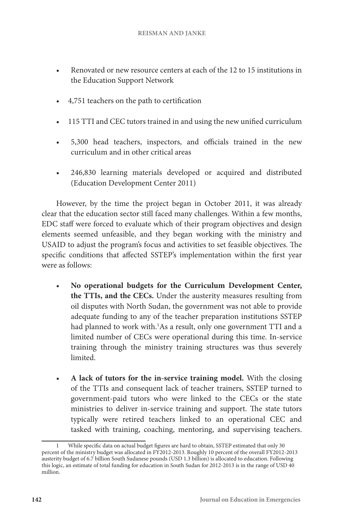- Renovated or new resource centers at each of the 12 to 15 institutions in the Education Support Network
- 4,751 teachers on the path to certification
- 115 TTI and CEC tutors trained in and using the new unified curriculum
- 5,300 head teachers, inspectors, and officials trained in the new curriculum and in other critical areas
- 246,830 learning materials developed or acquired and distributed (Education Development Center 2011)

However, by the time the project began in October 2011, it was already clear that the education sector still faced many challenges. Within a few months, EDC staff were forced to evaluate which of their program objectives and design elements seemed unfeasible, and they began working with the ministry and USAID to adjust the program's focus and activities to set feasible objectives. The specific conditions that affected SSTEP's implementation within the first year were as follows:

- **No operational budgets for the Curriculum Development Center, the TTIs, and the CECs.** Under the austerity measures resulting from oil disputes with North Sudan, the government was not able to provide adequate funding to any of the teacher preparation institutions SSTEP had planned to work with.1 As a result, only one government TTI and a limited number of CECs were operational during this time. In-service training through the ministry training structures was thus severely limited.
- **A lack of tutors for the in-service training model.** With the closing of the TTIs and consequent lack of teacher trainers, SSTEP turned to government-paid tutors who were linked to the CECs or the state ministries to deliver in-service training and support. The state tutors typically were retired teachers linked to an operational CEC and tasked with training, coaching, mentoring, and supervising teachers.

<sup>1</sup> While specific data on actual budget figures are hard to obtain, SSTEP estimated that only 30 percent of the ministry budget was allocated in FY2012-2013. Roughly 10 percent of the overall FY2012-2013 austerity budget of 6.7 billion South Sudanese pounds (USD 1.3 billion) is allocated to education. Following this logic, an estimate of total funding for education in South Sudan for 2012-2013 is in the range of USD 40 million.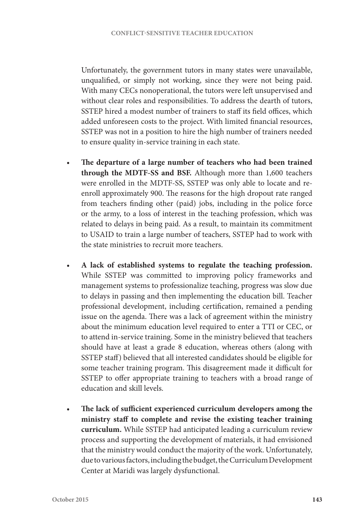Unfortunately, the government tutors in many states were unavailable, unqualified, or simply not working, since they were not being paid. With many CECs nonoperational, the tutors were left unsupervised and without clear roles and responsibilities. To address the dearth of tutors, SSTEP hired a modest number of trainers to staff its field offices, which added unforeseen costs to the project. With limited financial resources, SSTEP was not in a position to hire the high number of trainers needed to ensure quality in-service training in each state.

- **The departure of a large number of teachers who had been trained through the MDTF-SS and BSF.** Although more than 1,600 teachers were enrolled in the MDTF-SS, SSTEP was only able to locate and reenroll approximately 900. The reasons for the high dropout rate ranged from teachers finding other (paid) jobs, including in the police force or the army, to a loss of interest in the teaching profession, which was related to delays in being paid. As a result, to maintain its commitment to USAID to train a large number of teachers, SSTEP had to work with the state ministries to recruit more teachers.
- **A lack of established systems to regulate the teaching profession.**  While SSTEP was committed to improving policy frameworks and management systems to professionalize teaching, progress was slow due to delays in passing and then implementing the education bill. Teacher professional development, including certification, remained a pending issue on the agenda. There was a lack of agreement within the ministry about the minimum education level required to enter a TTI or CEC, or to attend in-service training. Some in the ministry believed that teachers should have at least a grade 8 education, whereas others (along with SSTEP staff) believed that all interested candidates should be eligible for some teacher training program. This disagreement made it difficult for SSTEP to offer appropriate training to teachers with a broad range of education and skill levels.
- **The lack of sufficient experienced curriculum developers among the ministry staff to complete and revise the existing teacher training curriculum.** While SSTEP had anticipated leading a curriculum review process and supporting the development of materials, it had envisioned that the ministry would conduct the majority of the work. Unfortunately, due to various factors, including the budget, the Curriculum Development Center at Maridi was largely dysfunctional.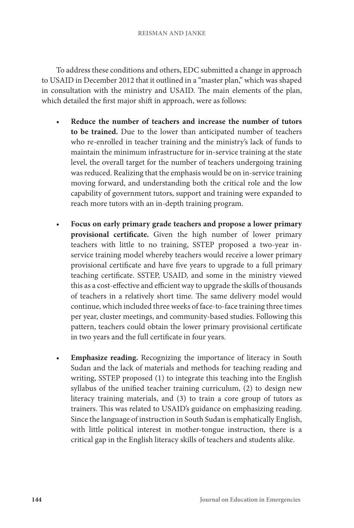To address these conditions and others, EDC submitted a change in approach to USAID in December 2012 that it outlined in a "master plan," which was shaped in consultation with the ministry and USAID. The main elements of the plan, which detailed the first major shift in approach, were as follows:

- **Reduce the number of teachers and increase the number of tutors to be trained.** Due to the lower than anticipated number of teachers who re-enrolled in teacher training and the ministry's lack of funds to maintain the minimum infrastructure for in-service training at the state level, the overall target for the number of teachers undergoing training was reduced. Realizing that the emphasis would be on in-service training moving forward, and understanding both the critical role and the low capability of government tutors, support and training were expanded to reach more tutors with an in-depth training program.
- **Focus on early primary grade teachers and propose a lower primary provisional certificate.** Given the high number of lower primary teachers with little to no training, SSTEP proposed a two-year inservice training model whereby teachers would receive a lower primary provisional certificate and have five years to upgrade to a full primary teaching certificate. SSTEP, USAID, and some in the ministry viewed this as a cost-effective and efficient way to upgrade the skills of thousands of teachers in a relatively short time. The same delivery model would continue, which included three weeks of face-to-face training three times per year, cluster meetings, and community-based studies. Following this pattern, teachers could obtain the lower primary provisional certificate in two years and the full certificate in four years.
- **Emphasize reading.** Recognizing the importance of literacy in South Sudan and the lack of materials and methods for teaching reading and writing, SSTEP proposed (1) to integrate this teaching into the English syllabus of the unified teacher training curriculum, (2) to design new literacy training materials, and (3) to train a core group of tutors as trainers. This was related to USAID's guidance on emphasizing reading. Since the language of instruction in South Sudan is emphatically English, with little political interest in mother-tongue instruction, there is a critical gap in the English literacy skills of teachers and students alike.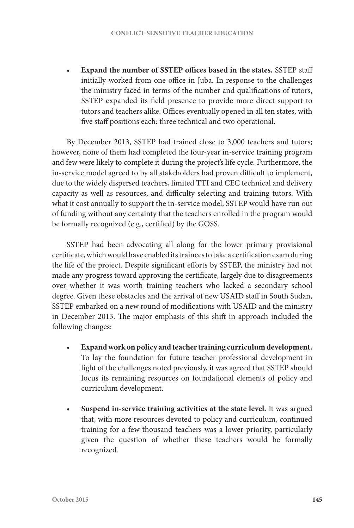• **Expand the number of SSTEP offices based in the states.** SSTEP staff initially worked from one office in Juba. In response to the challenges the ministry faced in terms of the number and qualifications of tutors, SSTEP expanded its field presence to provide more direct support to tutors and teachers alike. Offices eventually opened in all ten states, with five staff positions each: three technical and two operational.

By December 2013, SSTEP had trained close to 3,000 teachers and tutors; however, none of them had completed the four-year in-service training program and few were likely to complete it during the project's life cycle. Furthermore, the in-service model agreed to by all stakeholders had proven difficult to implement, due to the widely dispersed teachers, limited TTI and CEC technical and delivery capacity as well as resources, and difficulty selecting and training tutors. With what it cost annually to support the in-service model, SSTEP would have run out of funding without any certainty that the teachers enrolled in the program would be formally recognized (e.g., certified) by the GOSS.

SSTEP had been advocating all along for the lower primary provisional certificate, which would have enabled its trainees to take a certification exam during the life of the project. Despite significant efforts by SSTEP, the ministry had not made any progress toward approving the certificate, largely due to disagreements over whether it was worth training teachers who lacked a secondary school degree. Given these obstacles and the arrival of new USAID staff in South Sudan, SSTEP embarked on a new round of modifications with USAID and the ministry in December 2013. The major emphasis of this shift in approach included the following changes:

- **Expand work on policy and teacher training curriculum development.** To lay the foundation for future teacher professional development in light of the challenges noted previously, it was agreed that SSTEP should focus its remaining resources on foundational elements of policy and curriculum development.
- **Suspend in-service training activities at the state level.** It was argued that, with more resources devoted to policy and curriculum, continued training for a few thousand teachers was a lower priority, particularly given the question of whether these teachers would be formally recognized.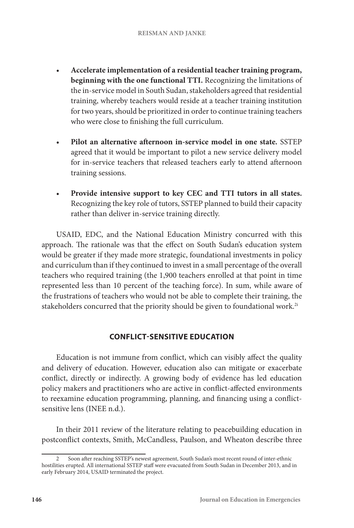- **Accelerate implementation of a residential teacher training program, beginning with the one functional TTI.** Recognizing the limitations of the in-service model in South Sudan, stakeholders agreed that residential training, whereby teachers would reside at a teacher training institution for two years, should be prioritized in order to continue training teachers who were close to finishing the full curriculum.
- **Pilot an alternative afternoon in-service model in one state.** SSTEP agreed that it would be important to pilot a new service delivery model for in-service teachers that released teachers early to attend afternoon training sessions.
- **Provide intensive support to key CEC and TTI tutors in all states.** Recognizing the key role of tutors, SSTEP planned to build their capacity rather than deliver in-service training directly.

USAID, EDC, and the National Education Ministry concurred with this approach. The rationale was that the effect on South Sudan's education system would be greater if they made more strategic, foundational investments in policy and curriculum than if they continued to invest in a small percentage of the overall teachers who required training (the 1,900 teachers enrolled at that point in time represented less than 10 percent of the teaching force). In sum, while aware of the frustrations of teachers who would not be able to complete their training, the stakeholders concurred that the priority should be given to foundational work.<sup>2i</sup>

# **CONFLICT-SENSITIVE EDUCATION**

Education is not immune from conflict, which can visibly affect the quality and delivery of education. However, education also can mitigate or exacerbate conflict, directly or indirectly. A growing body of evidence has led education policy makers and practitioners who are active in conflict-affected environments to reexamine education programming, planning, and financing using a conflictsensitive lens (INEE n.d.).

In their 2011 review of the literature relating to peacebuilding education in postconflict contexts, Smith, McCandless, Paulson, and Wheaton describe three

<sup>2</sup> Soon after reaching SSTEP's newest agreement, South Sudan's most recent round of inter-ethnic hostilities erupted. All international SSTEP staff were evacuated from South Sudan in December 2013, and in early February 2014, USAID terminated the project.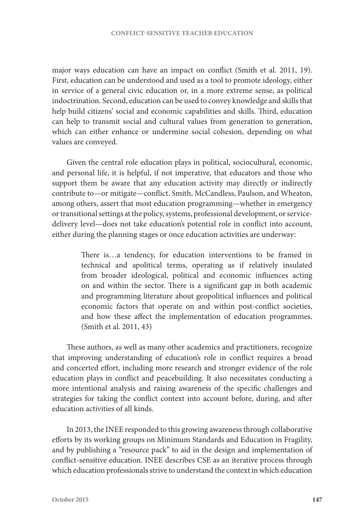major ways education can have an impact on conflict (Smith et al. 2011, 19). First, education can be understood and used as a tool to promote ideology, either in service of a general civic education or, in a more extreme sense, as political indoctrination. Second, education can be used to convey knowledge and skills that help build citizens' social and economic capabilities and skills. Third, education can help to transmit social and cultural values from generation to generation, which can either enhance or undermine social cohesion, depending on what values are conveyed.

Given the central role education plays in political, sociocultural, economic, and personal life, it is helpful, if not imperative, that educators and those who support them be aware that any education activity may directly or indirectly contribute to—or mitigate—conflict. Smith, McCandless, Paulson, and Wheaton, among others, assert that most education programming—whether in emergency or transitional settings at the policy, systems, professional development, or servicedelivery level—does not take education's potential role in conflict into account, either during the planning stages or once education activities are underway:

> There is…a tendency, for education interventions to be framed in technical and apolitical terms, operating as if relatively insulated from broader ideological, political and economic influences acting on and within the sector. There is a significant gap in both academic and programming literature about geopolitical influences and political economic factors that operate on and within post-conflict societies, and how these affect the implementation of education programmes. (Smith et al. 2011, 43)

These authors, as well as many other academics and practitioners, recognize that improving understanding of education's role in conflict requires a broad and concerted effort, including more research and stronger evidence of the role education plays in conflict and peacebuilding. It also necessitates conducting a more intentional analysis and raising awareness of the specific challenges and strategies for taking the conflict context into account before, during, and after education activities of all kinds.

In 2013, the INEE responded to this growing awareness through collaborative efforts by its working groups on Minimum Standards and Education in Fragility, and by publishing a "resource pack" to aid in the design and implementation of conflict-sensitive education. INEE describes CSE as an iterative process through which education professionals strive to understand the context in which education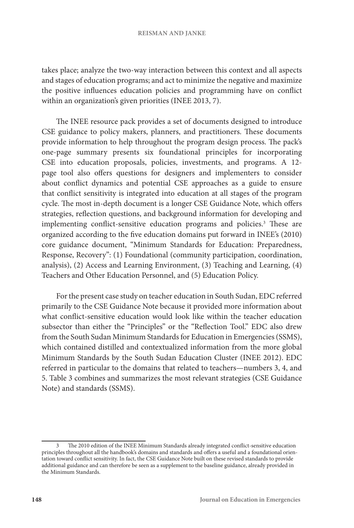takes place; analyze the two-way interaction between this context and all aspects and stages of education programs; and act to minimize the negative and maximize the positive influences education policies and programming have on conflict within an organization's given priorities (INEE 2013, 7).

The INEE resource pack provides a set of documents designed to introduce CSE guidance to policy makers, planners, and practitioners. These documents provide information to help throughout the program design process. The pack's one-page summary presents six foundational principles for incorporating CSE into education proposals, policies, investments, and programs. A 12 page tool also offers questions for designers and implementers to consider about conflict dynamics and potential CSE approaches as a guide to ensure that conflict sensitivity is integrated into education at all stages of the program cycle. The most in-depth document is a longer CSE Guidance Note, which offers strategies, reflection questions, and background information for developing and implementing conflict-sensitive education programs and policies.<sup>3</sup> These are organized according to the five education domains put forward in INEE's (2010) core guidance document, "Minimum Standards for Education: Preparedness, Response, Recovery": (1) Foundational (community participation, coordination, analysis), (2) Access and Learning Environment, (3) Teaching and Learning, (4) Teachers and Other Education Personnel, and (5) Education Policy.

For the present case study on teacher education in South Sudan, EDC referred primarily to the CSE Guidance Note because it provided more information about what conflict-sensitive education would look like within the teacher education subsector than either the "Principles" or the "Reflection Tool." EDC also drew from the South Sudan Minimum Standards for Education in Emergencies (SSMS), which contained distilled and contextualized information from the more global Minimum Standards by the South Sudan Education Cluster (INEE 2012). EDC referred in particular to the domains that related to teachers—numbers 3, 4, and 5. Table 3 combines and summarizes the most relevant strategies (CSE Guidance Note) and standards (SSMS).

<sup>3</sup> The 2010 edition of the INEE Minimum Standards already integrated conflict-sensitive education principles throughout all the handbook's domains and standards and offers a useful and a foundational orientation toward conflict sensitivity. In fact, the CSE Guidance Note built on these revised standards to provide additional guidance and can therefore be seen as a supplement to the baseline guidance, already provided in the Minimum Standards.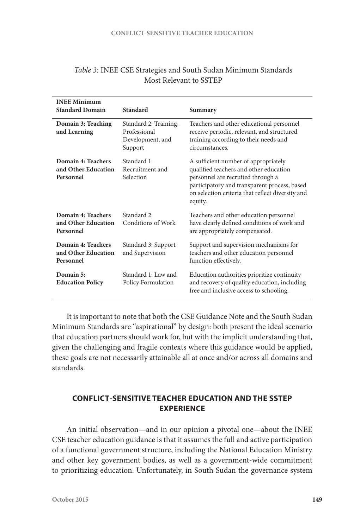| <b>INEE Minimum</b><br><b>Standard Domain</b>          | Standard                                                             | Summary                                                                                                                                                                                                                            |
|--------------------------------------------------------|----------------------------------------------------------------------|------------------------------------------------------------------------------------------------------------------------------------------------------------------------------------------------------------------------------------|
| Domain 3: Teaching<br>and Learning                     | Standard 2: Training,<br>Professional<br>Development, and<br>Support | Teachers and other educational personnel<br>receive periodic, relevant, and structured<br>training according to their needs and<br>circumstances.                                                                                  |
| Domain 4: Teachers<br>and Other Education<br>Personnel | Standard 1:<br>Recruitment and<br>Selection                          | A sufficient number of appropriately<br>qualified teachers and other education<br>personnel are recruited through a<br>participatory and transparent process, based<br>on selection criteria that reflect diversity and<br>equity. |
| Domain 4: Teachers<br>and Other Education<br>Personnel | Standard 2:<br>Conditions of Work                                    | Teachers and other education personnel<br>have clearly defined conditions of work and<br>are appropriately compensated.                                                                                                            |
| Domain 4: Teachers<br>and Other Education<br>Personnel | Standard 3: Support<br>and Supervision                               | Support and supervision mechanisms for<br>teachers and other education personnel<br>function effectively.                                                                                                                          |
| Domain 5:<br><b>Education Policy</b>                   | Standard 1: Law and<br>Policy Formulation                            | Education authorities prioritize continuity<br>and recovery of quality education, including<br>free and inclusive access to schooling.                                                                                             |

# *Table 3:* INEE CSE Strategies and South Sudan Minimum Standards Most Relevant to SSTEP

It is important to note that both the CSE Guidance Note and the South Sudan Minimum Standards are "aspirational" by design: both present the ideal scenario that education partners should work for, but with the implicit understanding that, given the challenging and fragile contexts where this guidance would be applied, these goals are not necessarily attainable all at once and/or across all domains and standards.

# **CONFLICT-SENSITIVE TEACHER EDUCATION AND THE SSTEP EXPERIENCE**

An initial observation—and in our opinion a pivotal one—about the INEE CSE teacher education guidance is that it assumes the full and active participation of a functional government structure, including the National Education Ministry and other key government bodies, as well as a government-wide commitment to prioritizing education. Unfortunately, in South Sudan the governance system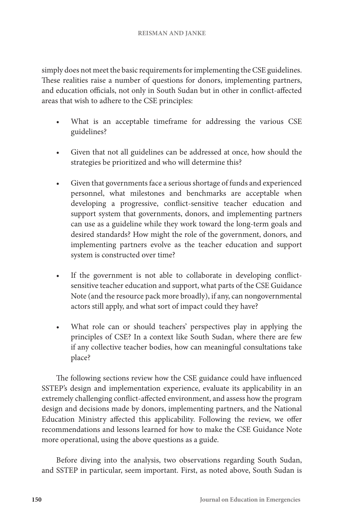simply does not meet the basic requirements for implementing the CSE guidelines. These realities raise a number of questions for donors, implementing partners, and education officials, not only in South Sudan but in other in conflict-affected areas that wish to adhere to the CSE principles:

- What is an acceptable timeframe for addressing the various CSE guidelines?
- Given that not all guidelines can be addressed at once, how should the strategies be prioritized and who will determine this?
- Given that governments face a serious shortage of funds and experienced personnel, what milestones and benchmarks are acceptable when developing a progressive, conflict-sensitive teacher education and support system that governments, donors, and implementing partners can use as a guideline while they work toward the long-term goals and desired standards? How might the role of the government, donors, and implementing partners evolve as the teacher education and support system is constructed over time?
- If the government is not able to collaborate in developing conflictsensitive teacher education and support, what parts of the CSE Guidance Note (and the resource pack more broadly), if any, can nongovernmental actors still apply, and what sort of impact could they have?
- What role can or should teachers' perspectives play in applying the principles of CSE? In a context like South Sudan, where there are few if any collective teacher bodies, how can meaningful consultations take place?

The following sections review how the CSE guidance could have influenced SSTEP's design and implementation experience, evaluate its applicability in an extremely challenging conflict-affected environment, and assess how the program design and decisions made by donors, implementing partners, and the National Education Ministry affected this applicability. Following the review, we offer recommendations and lessons learned for how to make the CSE Guidance Note more operational, using the above questions as a guide.

Before diving into the analysis, two observations regarding South Sudan, and SSTEP in particular, seem important. First, as noted above, South Sudan is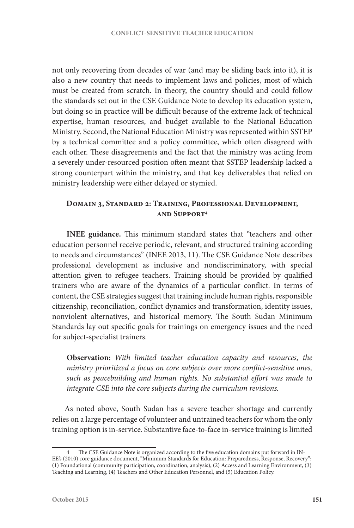not only recovering from decades of war (and may be sliding back into it), it is also a new country that needs to implement laws and policies, most of which must be created from scratch. In theory, the country should and could follow the standards set out in the CSE Guidance Note to develop its education system, but doing so in practice will be difficult because of the extreme lack of technical expertise, human resources, and budget available to the National Education Ministry. Second, the National Education Ministry was represented within SSTEP by a technical committee and a policy committee, which often disagreed with each other. These disagreements and the fact that the ministry was acting from a severely under-resourced position often meant that SSTEP leadership lacked a strong counterpart within the ministry, and that key deliverables that relied on ministry leadership were either delayed or stymied.

# **Domain 3, Standard 2: Training, Professional Development, and Support4**

**INEE guidance.** This minimum standard states that "teachers and other education personnel receive periodic, relevant, and structured training according to needs and circumstances" (INEE 2013, 11). The CSE Guidance Note describes professional development as inclusive and nondiscriminatory, with special attention given to refugee teachers. Training should be provided by qualified trainers who are aware of the dynamics of a particular conflict. In terms of content, the CSE strategies suggest that training include human rights, responsible citizenship, reconciliation, conflict dynamics and transformation, identity issues, nonviolent alternatives, and historical memory. The South Sudan Minimum Standards lay out specific goals for trainings on emergency issues and the need for subject-specialist trainers.

**Observation:** *With limited teacher education capacity and resources, the ministry prioritized a focus on core subjects over more conflict-sensitive ones, such as peacebuilding and human rights. No substantial effort was made to integrate CSE into the core subjects during the curriculum revisions.*

As noted above, South Sudan has a severe teacher shortage and currently relies on a large percentage of volunteer and untrained teachers for whom the only training option is in-service. Substantive face-to-face in-service training is limited

The CSE Guidance Note is organized according to the five education domains put forward in IN-EE's (2010) core guidance document, "Minimum Standards for Education: Preparedness, Response, Recovery": (1) Foundational (community participation, coordination, analysis), (2) Access and Learning Environment, (3) Teaching and Learning, (4) Teachers and Other Education Personnel, and (5) Education Policy.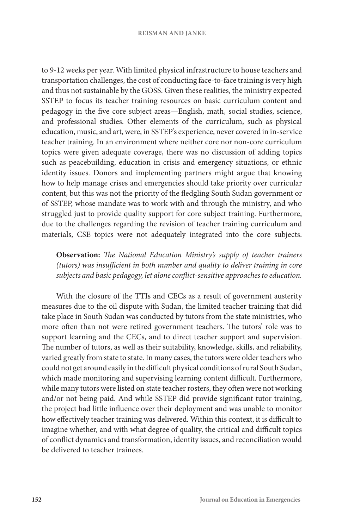#### **REISMAN AND JANKE**

to 9-12 weeks per year. With limited physical infrastructure to house teachers and transportation challenges, the cost of conducting face-to-face training is very high and thus not sustainable by the GOSS. Given these realities, the ministry expected SSTEP to focus its teacher training resources on basic curriculum content and pedagogy in the five core subject areas—English, math, social studies, science, and professional studies. Other elements of the curriculum, such as physical education, music, and art, were, in SSTEP's experience, never covered in in-service teacher training. In an environment where neither core nor non-core curriculum topics were given adequate coverage, there was no discussion of adding topics such as peacebuilding, education in crisis and emergency situations, or ethnic identity issues. Donors and implementing partners might argue that knowing how to help manage crises and emergencies should take priority over curricular content, but this was not the priority of the fledgling South Sudan government or of SSTEP, whose mandate was to work with and through the ministry, and who struggled just to provide quality support for core subject training. Furthermore, due to the challenges regarding the revision of teacher training curriculum and materials, CSE topics were not adequately integrated into the core subjects.

**Observation:** *The National Education Ministry's supply of teacher trainers (tutors) was insufficient in both number and quality to deliver training in core subjects and basic pedagogy, let alone conflict-sensitive approaches to education.*

With the closure of the TTIs and CECs as a result of government austerity measures due to the oil dispute with Sudan, the limited teacher training that did take place in South Sudan was conducted by tutors from the state ministries, who more often than not were retired government teachers. The tutors' role was to support learning and the CECs, and to direct teacher support and supervision. The number of tutors, as well as their suitability, knowledge, skills, and reliability, varied greatly from state to state. In many cases, the tutors were older teachers who could not get around easily in the difficult physical conditions of rural South Sudan, which made monitoring and supervising learning content difficult. Furthermore, while many tutors were listed on state teacher rosters, they often were not working and/or not being paid. And while SSTEP did provide significant tutor training, the project had little influence over their deployment and was unable to monitor how effectively teacher training was delivered. Within this context, it is difficult to imagine whether, and with what degree of quality, the critical and difficult topics of conflict dynamics and transformation, identity issues, and reconciliation would be delivered to teacher trainees.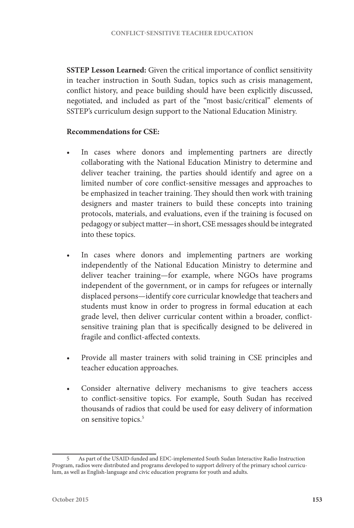**SSTEP Lesson Learned:** Given the critical importance of conflict sensitivity in teacher instruction in South Sudan, topics such as crisis management, conflict history, and peace building should have been explicitly discussed, negotiated, and included as part of the "most basic/critical" elements of SSTEP's curriculum design support to the National Education Ministry.

## **Recommendations for CSE:**

- In cases where donors and implementing partners are directly collaborating with the National Education Ministry to determine and deliver teacher training, the parties should identify and agree on a limited number of core conflict-sensitive messages and approaches to be emphasized in teacher training. They should then work with training designers and master trainers to build these concepts into training protocols, materials, and evaluations, even if the training is focused on pedagogy or subject matter—in short, CSE messages should be integrated into these topics.
- In cases where donors and implementing partners are working independently of the National Education Ministry to determine and deliver teacher training—for example, where NGOs have programs independent of the government, or in camps for refugees or internally displaced persons—identify core curricular knowledge that teachers and students must know in order to progress in formal education at each grade level, then deliver curricular content within a broader, conflictsensitive training plan that is specifically designed to be delivered in fragile and conflict-affected contexts.
- Provide all master trainers with solid training in CSE principles and teacher education approaches.
- Consider alternative delivery mechanisms to give teachers access to conflict-sensitive topics. For example, South Sudan has received thousands of radios that could be used for easy delivery of information on sensitive topics.<sup>5</sup>

<sup>5</sup> As part of the USAID-funded and EDC-implemented South Sudan Interactive Radio Instruction Program, radios were distributed and programs developed to support delivery of the primary school curriculum, as well as English-language and civic education programs for youth and adults.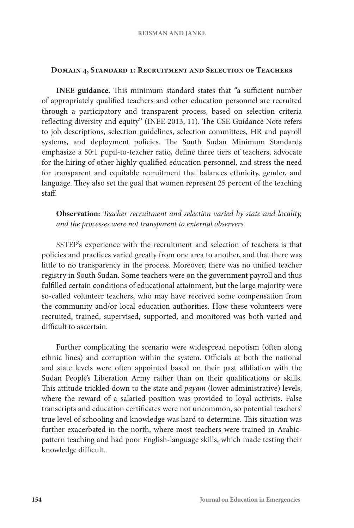## **Domain 4, Standard 1: Recruitment and Selection of Teachers**

**INEE guidance.** This minimum standard states that "a sufficient number of appropriately qualified teachers and other education personnel are recruited through a participatory and transparent process, based on selection criteria reflecting diversity and equity" (INEE 2013, 11). The CSE Guidance Note refers to job descriptions, selection guidelines, selection committees, HR and payroll systems, and deployment policies. The South Sudan Minimum Standards emphasize a 50:1 pupil-to-teacher ratio, define three tiers of teachers, advocate for the hiring of other highly qualified education personnel, and stress the need for transparent and equitable recruitment that balances ethnicity, gender, and language. They also set the goal that women represent 25 percent of the teaching staff.

**Observation:** *Teacher recruitment and selection varied by state and locality, and the processes were not transparent to external observers.*

SSTEP's experience with the recruitment and selection of teachers is that policies and practices varied greatly from one area to another, and that there was little to no transparency in the process. Moreover, there was no unified teacher registry in South Sudan. Some teachers were on the government payroll and thus fulfilled certain conditions of educational attainment, but the large majority were so-called volunteer teachers, who may have received some compensation from the community and/or local education authorities. How these volunteers were recruited, trained, supervised, supported, and monitored was both varied and difficult to ascertain.

Further complicating the scenario were widespread nepotism (often along ethnic lines) and corruption within the system. Officials at both the national and state levels were often appointed based on their past affiliation with the Sudan People's Liberation Army rather than on their qualifications or skills. This attitude trickled down to the state and *payam* (lower administrative) levels, where the reward of a salaried position was provided to loyal activists. False transcripts and education certificates were not uncommon, so potential teachers' true level of schooling and knowledge was hard to determine. This situation was further exacerbated in the north, where most teachers were trained in Arabicpattern teaching and had poor English-language skills, which made testing their knowledge difficult.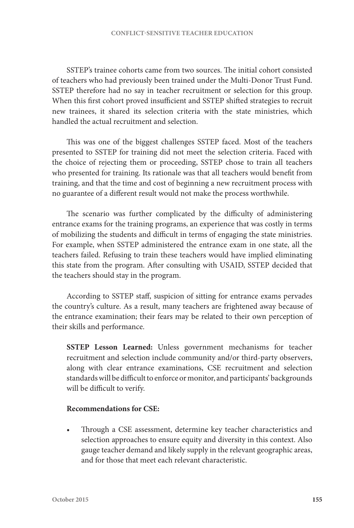SSTEP's trainee cohorts came from two sources. The initial cohort consisted of teachers who had previously been trained under the Multi-Donor Trust Fund. SSTEP therefore had no say in teacher recruitment or selection for this group. When this first cohort proved insufficient and SSTEP shifted strategies to recruit new trainees, it shared its selection criteria with the state ministries, which handled the actual recruitment and selection.

This was one of the biggest challenges SSTEP faced. Most of the teachers presented to SSTEP for training did not meet the selection criteria. Faced with the choice of rejecting them or proceeding, SSTEP chose to train all teachers who presented for training. Its rationale was that all teachers would benefit from training, and that the time and cost of beginning a new recruitment process with no guarantee of a different result would not make the process worthwhile.

The scenario was further complicated by the difficulty of administering entrance exams for the training programs, an experience that was costly in terms of mobilizing the students and difficult in terms of engaging the state ministries. For example, when SSTEP administered the entrance exam in one state, all the teachers failed. Refusing to train these teachers would have implied eliminating this state from the program. After consulting with USAID, SSTEP decided that the teachers should stay in the program.

According to SSTEP staff, suspicion of sitting for entrance exams pervades the country's culture. As a result, many teachers are frightened away because of the entrance examination; their fears may be related to their own perception of their skills and performance.

**SSTEP Lesson Learned:** Unless government mechanisms for teacher recruitment and selection include community and/or third-party observers, along with clear entrance examinations, CSE recruitment and selection standards will be difficult to enforce or monitor, and participants' backgrounds will be difficult to verify.

## **Recommendations for CSE:**

Through a CSE assessment, determine key teacher characteristics and selection approaches to ensure equity and diversity in this context. Also gauge teacher demand and likely supply in the relevant geographic areas, and for those that meet each relevant characteristic.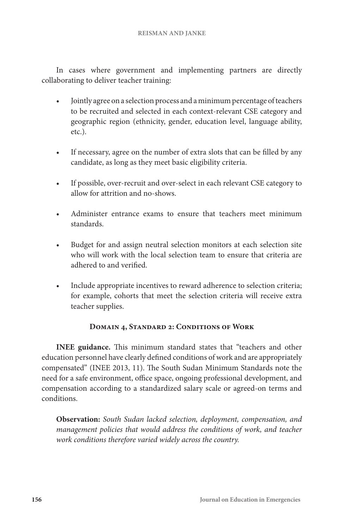In cases where government and implementing partners are directly collaborating to deliver teacher training:

- Jointly agree on a selection process and a minimum percentage of teachers to be recruited and selected in each context-relevant CSE category and geographic region (ethnicity, gender, education level, language ability, etc.).
- If necessary, agree on the number of extra slots that can be filled by any candidate, as long as they meet basic eligibility criteria.
- If possible, over-recruit and over-select in each relevant CSE category to allow for attrition and no-shows.
- Administer entrance exams to ensure that teachers meet minimum standards.
- Budget for and assign neutral selection monitors at each selection site who will work with the local selection team to ensure that criteria are adhered to and verified.
- Include appropriate incentives to reward adherence to selection criteria; for example, cohorts that meet the selection criteria will receive extra teacher supplies.

# **Domain 4, Standard 2: Conditions of Work**

**INEE guidance.** This minimum standard states that "teachers and other education personnel have clearly defined conditions of work and are appropriately compensated" (INEE 2013, 11). The South Sudan Minimum Standards note the need for a safe environment, office space, ongoing professional development, and compensation according to a standardized salary scale or agreed-on terms and conditions.

**Observation:** *South Sudan lacked selection, deployment, compensation, and management policies that would address the conditions of work, and teacher work conditions therefore varied widely across the country.*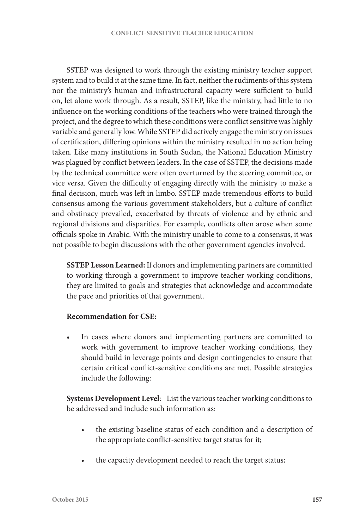SSTEP was designed to work through the existing ministry teacher support system and to build it at the same time. In fact, neither the rudiments of this system nor the ministry's human and infrastructural capacity were sufficient to build on, let alone work through. As a result, SSTEP, like the ministry, had little to no influence on the working conditions of the teachers who were trained through the project, and the degree to which these conditions were conflict sensitive was highly variable and generally low. While SSTEP did actively engage the ministry on issues of certification, differing opinions within the ministry resulted in no action being taken. Like many institutions in South Sudan, the National Education Ministry was plagued by conflict between leaders. In the case of SSTEP, the decisions made by the technical committee were often overturned by the steering committee, or vice versa. Given the difficulty of engaging directly with the ministry to make a final decision, much was left in limbo. SSTEP made tremendous efforts to build consensus among the various government stakeholders, but a culture of conflict and obstinacy prevailed, exacerbated by threats of violence and by ethnic and regional divisions and disparities. For example, conflicts often arose when some officials spoke in Arabic. With the ministry unable to come to a consensus, it was not possible to begin discussions with the other government agencies involved.

**SSTEP Lesson Learned:** If donors and implementing partners are committed to working through a government to improve teacher working conditions, they are limited to goals and strategies that acknowledge and accommodate the pace and priorities of that government.

## **Recommendation for CSE:**

In cases where donors and implementing partners are committed to work with government to improve teacher working conditions, they should build in leverage points and design contingencies to ensure that certain critical conflict-sensitive conditions are met. Possible strategies include the following:

**Systems Development Level**: List the various teacher working conditions to be addressed and include such information as:

- the existing baseline status of each condition and a description of the appropriate conflict-sensitive target status for it;
- the capacity development needed to reach the target status;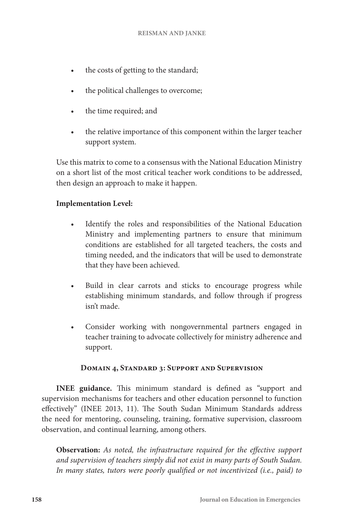- the costs of getting to the standard;
- the political challenges to overcome;
- the time required; and
- the relative importance of this component within the larger teacher support system.

Use this matrix to come to a consensus with the National Education Ministry on a short list of the most critical teacher work conditions to be addressed, then design an approach to make it happen.

# **Implementation Level:**

- Identify the roles and responsibilities of the National Education Ministry and implementing partners to ensure that minimum conditions are established for all targeted teachers, the costs and timing needed, and the indicators that will be used to demonstrate that they have been achieved.
- Build in clear carrots and sticks to encourage progress while establishing minimum standards, and follow through if progress isn't made.
- Consider working with nongovernmental partners engaged in teacher training to advocate collectively for ministry adherence and support.

# **Domain 4, Standard 3: Support and Supervision**

**INEE guidance.** This minimum standard is defined as "support and supervision mechanisms for teachers and other education personnel to function effectively" (INEE 2013, 11). The South Sudan Minimum Standards address the need for mentoring, counseling, training, formative supervision, classroom observation, and continual learning, among others.

**Observation:** *As noted, the infrastructure required for the effective support and supervision of teachers simply did not exist in many parts of South Sudan. In many states, tutors were poorly qualified or not incentivized (i.e., paid) to*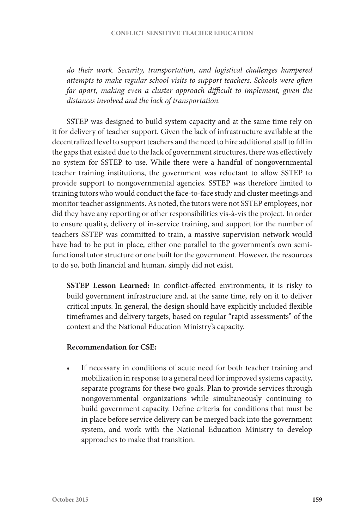*do their work. Security, transportation, and logistical challenges hampered attempts to make regular school visits to support teachers. Schools were often far apart, making even a cluster approach difficult to implement, given the distances involved and the lack of transportation.*

SSTEP was designed to build system capacity and at the same time rely on it for delivery of teacher support. Given the lack of infrastructure available at the decentralized level to support teachers and the need to hire additional staff to fill in the gaps that existed due to the lack of government structures, there was effectively no system for SSTEP to use. While there were a handful of nongovernmental teacher training institutions, the government was reluctant to allow SSTEP to provide support to nongovernmental agencies. SSTEP was therefore limited to training tutors who would conduct the face-to-face study and cluster meetings and monitor teacher assignments. As noted, the tutors were not SSTEP employees, nor did they have any reporting or other responsibilities vis-à-vis the project. In order to ensure quality, delivery of in-service training, and support for the number of teachers SSTEP was committed to train, a massive supervision network would have had to be put in place, either one parallel to the government's own semifunctional tutor structure or one built for the government. However, the resources to do so, both financial and human, simply did not exist.

**SSTEP Lesson Learned:** In conflict-affected environments, it is risky to build government infrastructure and, at the same time, rely on it to deliver critical inputs. In general, the design should have explicitly included flexible timeframes and delivery targets, based on regular "rapid assessments" of the context and the National Education Ministry's capacity.

## **Recommendation for CSE:**

If necessary in conditions of acute need for both teacher training and mobilization in response to a general need for improved systems capacity, separate programs for these two goals. Plan to provide services through nongovernmental organizations while simultaneously continuing to build government capacity. Define criteria for conditions that must be in place before service delivery can be merged back into the government system, and work with the National Education Ministry to develop approaches to make that transition.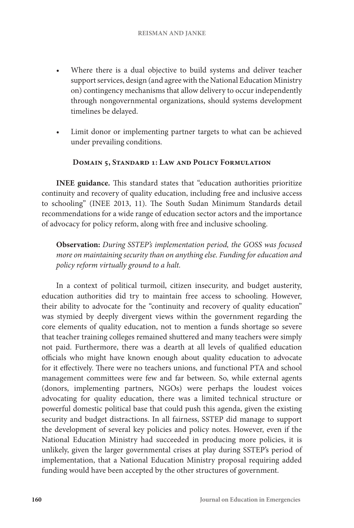- Where there is a dual objective to build systems and deliver teacher support services, design (and agree with the National Education Ministry on) contingency mechanisms that allow delivery to occur independently through nongovernmental organizations, should systems development timelines be delayed.
- Limit donor or implementing partner targets to what can be achieved under prevailing conditions.

## **Domain 5, Standard 1: Law and Policy Formulation**

**INEE guidance.** This standard states that "education authorities prioritize continuity and recovery of quality education, including free and inclusive access to schooling" (INEE 2013, 11). The South Sudan Minimum Standards detail recommendations for a wide range of education sector actors and the importance of advocacy for policy reform, along with free and inclusive schooling.

**Observation:** *During SSTEP's implementation period, the GOSS was focused more on maintaining security than on anything else. Funding for education and policy reform virtually ground to a halt.*

In a context of political turmoil, citizen insecurity, and budget austerity, education authorities did try to maintain free access to schooling. However, their ability to advocate for the "continuity and recovery of quality education" was stymied by deeply divergent views within the government regarding the core elements of quality education, not to mention a funds shortage so severe that teacher training colleges remained shuttered and many teachers were simply not paid. Furthermore, there was a dearth at all levels of qualified education officials who might have known enough about quality education to advocate for it effectively. There were no teachers unions, and functional PTA and school management committees were few and far between. So, while external agents (donors, implementing partners, NGOs) were perhaps the loudest voices advocating for quality education, there was a limited technical structure or powerful domestic political base that could push this agenda, given the existing security and budget distractions. In all fairness, SSTEP did manage to support the development of several key policies and policy notes. However, even if the National Education Ministry had succeeded in producing more policies, it is unlikely, given the larger governmental crises at play during SSTEP's period of implementation, that a National Education Ministry proposal requiring added funding would have been accepted by the other structures of government.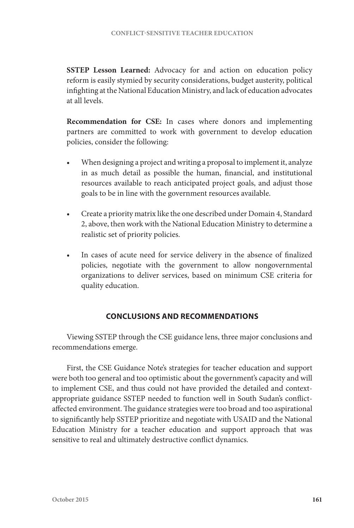**SSTEP Lesson Learned:** Advocacy for and action on education policy reform is easily stymied by security considerations, budget austerity, political infighting at the National Education Ministry, and lack of education advocates at all levels.

**Recommendation for CSE:** In cases where donors and implementing partners are committed to work with government to develop education policies, consider the following:

- When designing a project and writing a proposal to implement it, analyze in as much detail as possible the human, financial, and institutional resources available to reach anticipated project goals, and adjust those goals to be in line with the government resources available.
- Create a priority matrix like the one described under Domain 4, Standard 2, above, then work with the National Education Ministry to determine a realistic set of priority policies.
- In cases of acute need for service delivery in the absence of finalized policies, negotiate with the government to allow nongovernmental organizations to deliver services, based on minimum CSE criteria for quality education.

# **CONCLUSIONS AND RECOMMENDATIONS**

Viewing SSTEP through the CSE guidance lens, three major conclusions and recommendations emerge.

First, the CSE Guidance Note's strategies for teacher education and support were both too general and too optimistic about the government's capacity and will to implement CSE, and thus could not have provided the detailed and contextappropriate guidance SSTEP needed to function well in South Sudan's conflictaffected environment. The guidance strategies were too broad and too aspirational to significantly help SSTEP prioritize and negotiate with USAID and the National Education Ministry for a teacher education and support approach that was sensitive to real and ultimately destructive conflict dynamics.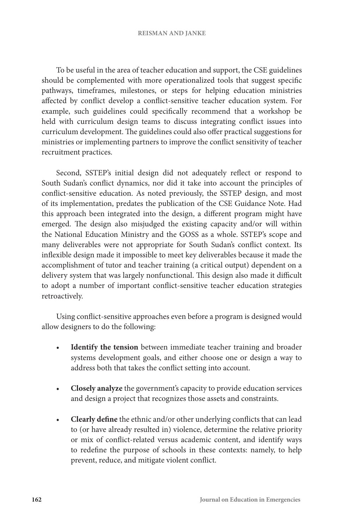#### **REISMAN AND JANKE**

To be useful in the area of teacher education and support, the CSE guidelines should be complemented with more operationalized tools that suggest specific pathways, timeframes, milestones, or steps for helping education ministries affected by conflict develop a conflict-sensitive teacher education system. For example, such guidelines could specifically recommend that a workshop be held with curriculum design teams to discuss integrating conflict issues into curriculum development. The guidelines could also offer practical suggestions for ministries or implementing partners to improve the conflict sensitivity of teacher recruitment practices.

Second, SSTEP's initial design did not adequately reflect or respond to South Sudan's conflict dynamics, nor did it take into account the principles of conflict-sensitive education. As noted previously, the SSTEP design, and most of its implementation, predates the publication of the CSE Guidance Note. Had this approach been integrated into the design, a different program might have emerged. The design also misjudged the existing capacity and/or will within the National Education Ministry and the GOSS as a whole. SSTEP's scope and many deliverables were not appropriate for South Sudan's conflict context. Its inflexible design made it impossible to meet key deliverables because it made the accomplishment of tutor and teacher training (a critical output) dependent on a delivery system that was largely nonfunctional. This design also made it difficult to adopt a number of important conflict-sensitive teacher education strategies retroactively.

Using conflict-sensitive approaches even before a program is designed would allow designers to do the following:

- Identify the tension between immediate teacher training and broader systems development goals, and either choose one or design a way to address both that takes the conflict setting into account.
- **Closely analyze** the government's capacity to provide education services and design a project that recognizes those assets and constraints.
- **Clearly define** the ethnic and/or other underlying conflicts that can lead to (or have already resulted in) violence, determine the relative priority or mix of conflict-related versus academic content, and identify ways to redefine the purpose of schools in these contexts: namely, to help prevent, reduce, and mitigate violent conflict.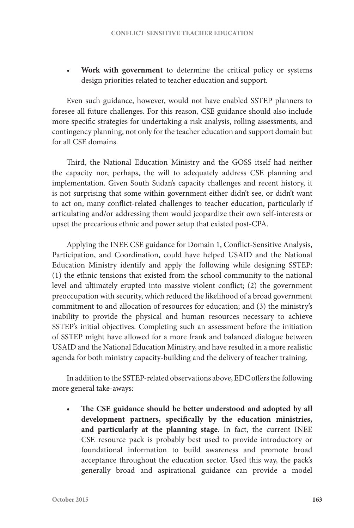• **Work with government** to determine the critical policy or systems design priorities related to teacher education and support.

Even such guidance, however, would not have enabled SSTEP planners to foresee all future challenges. For this reason, CSE guidance should also include more specific strategies for undertaking a risk analysis, rolling assessments, and contingency planning, not only for the teacher education and support domain but for all CSE domains.

Third, the National Education Ministry and the GOSS itself had neither the capacity nor, perhaps, the will to adequately address CSE planning and implementation. Given South Sudan's capacity challenges and recent history, it is not surprising that some within government either didn't see, or didn't want to act on, many conflict-related challenges to teacher education, particularly if articulating and/or addressing them would jeopardize their own self-interests or upset the precarious ethnic and power setup that existed post-CPA.

Applying the INEE CSE guidance for Domain 1, Conflict-Sensitive Analysis, Participation, and Coordination, could have helped USAID and the National Education Ministry identify and apply the following while designing SSTEP: (1) the ethnic tensions that existed from the school community to the national level and ultimately erupted into massive violent conflict; (2) the government preoccupation with security, which reduced the likelihood of a broad government commitment to and allocation of resources for education; and (3) the ministry's inability to provide the physical and human resources necessary to achieve SSTEP's initial objectives. Completing such an assessment before the initiation of SSTEP might have allowed for a more frank and balanced dialogue between USAID and the National Education Ministry, and have resulted in a more realistic agenda for both ministry capacity-building and the delivery of teacher training.

In addition to the SSTEP-related observations above, EDC offers the following more general take-aways:

The CSE guidance should be better understood and adopted by all **development partners, specifically by the education ministries, and particularly at the planning stage.** In fact, the current INEE CSE resource pack is probably best used to provide introductory or foundational information to build awareness and promote broad acceptance throughout the education sector. Used this way, the pack's generally broad and aspirational guidance can provide a model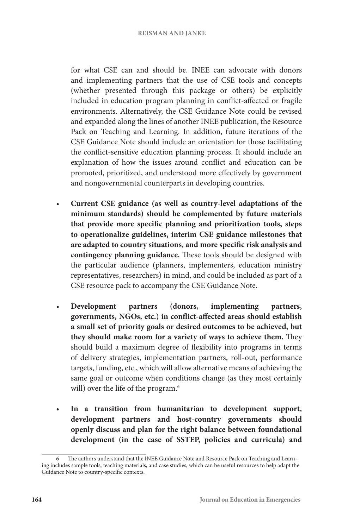for what CSE can and should be. INEE can advocate with donors and implementing partners that the use of CSE tools and concepts (whether presented through this package or others) be explicitly included in education program planning in conflict-affected or fragile environments. Alternatively, the CSE Guidance Note could be revised and expanded along the lines of another INEE publication, the Resource Pack on Teaching and Learning. In addition, future iterations of the CSE Guidance Note should include an orientation for those facilitating the conflict-sensitive education planning process. It should include an explanation of how the issues around conflict and education can be promoted, prioritized, and understood more effectively by government and nongovernmental counterparts in developing countries.

- **Current CSE guidance (as well as country-level adaptations of the minimum standards) should be complemented by future materials that provide more specific planning and prioritization tools, steps to operationalize guidelines, interim CSE guidance milestones that are adapted to country situations, and more specific risk analysis and contingency planning guidance.** These tools should be designed with the particular audience (planners, implementers, education ministry representatives, researchers) in mind, and could be included as part of a CSE resource pack to accompany the CSE Guidance Note.
- **Development partners (donors, implementing partners, governments, NGOs, etc.) in conflict-affected areas should establish a small set of priority goals or desired outcomes to be achieved, but they should make room for a variety of ways to achieve them.** They should build a maximum degree of flexibility into programs in terms of delivery strategies, implementation partners, roll-out, performance targets, funding, etc., which will allow alternative means of achieving the same goal or outcome when conditions change (as they most certainly will) over the life of the program.<sup>6</sup>
- **In a transition from humanitarian to development support, development partners and host-country governments should openly discuss and plan for the right balance between foundational development (in the case of SSTEP, policies and curricula) and**

The authors understand that the INEE Guidance Note and Resource Pack on Teaching and Learning includes sample tools, teaching materials, and case studies, which can be useful resources to help adapt the Guidance Note to country-specific contexts.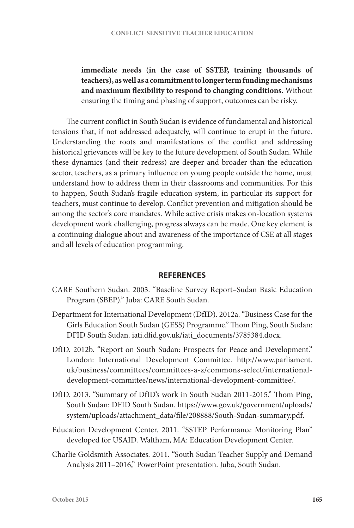**immediate needs (in the case of SSTEP, training thousands of teachers), as well as a commitment to longer term funding mechanisms and maximum flexibility to respond to changing conditions.** Without ensuring the timing and phasing of support, outcomes can be risky.

The current conflict in South Sudan is evidence of fundamental and historical tensions that, if not addressed adequately, will continue to erupt in the future. Understanding the roots and manifestations of the conflict and addressing historical grievances will be key to the future development of South Sudan. While these dynamics (and their redress) are deeper and broader than the education sector, teachers, as a primary influence on young people outside the home, must understand how to address them in their classrooms and communities. For this to happen, South Sudan's fragile education system, in particular its support for teachers, must continue to develop. Conflict prevention and mitigation should be among the sector's core mandates. While active crisis makes on-location systems development work challenging, progress always can be made. One key element is a continuing dialogue about and awareness of the importance of CSE at all stages and all levels of education programming.

### **REFERENCES**

- CARE Southern Sudan. 2003. "Baseline Survey Report–Sudan Basic Education Program (SBEP)." Juba: CARE South Sudan.
- Department for International Development (DfID). 2012a. "Business Case for the Girls Education South Sudan (GESS) Programme." Thom Ping, South Sudan: DFID South Sudan. iati.dfid.gov.uk/iati\_documents/3785384.docx.
- DfID. 2012b. "Report on South Sudan: Prospects for Peace and Development." London: International Development Committee. http://www.parliament. uk/business/committees/committees-a-z/commons-select/internationaldevelopment-committee/news/international-development-committee/.
- DfID. 2013. "Summary of DfID's work in South Sudan 2011-2015." Thom Ping, South Sudan: DFID South Sudan. https://www.gov.uk/government/uploads/ system/uploads/attachment\_data/file/208888/South-Sudan-summary.pdf.
- Education Development Center. 2011. "SSTEP Performance Monitoring Plan" developed for USAID. Waltham, MA: Education Development Center.
- Charlie Goldsmith Associates. 2011. "South Sudan Teacher Supply and Demand Analysis 2011–2016," PowerPoint presentation. Juba, South Sudan.